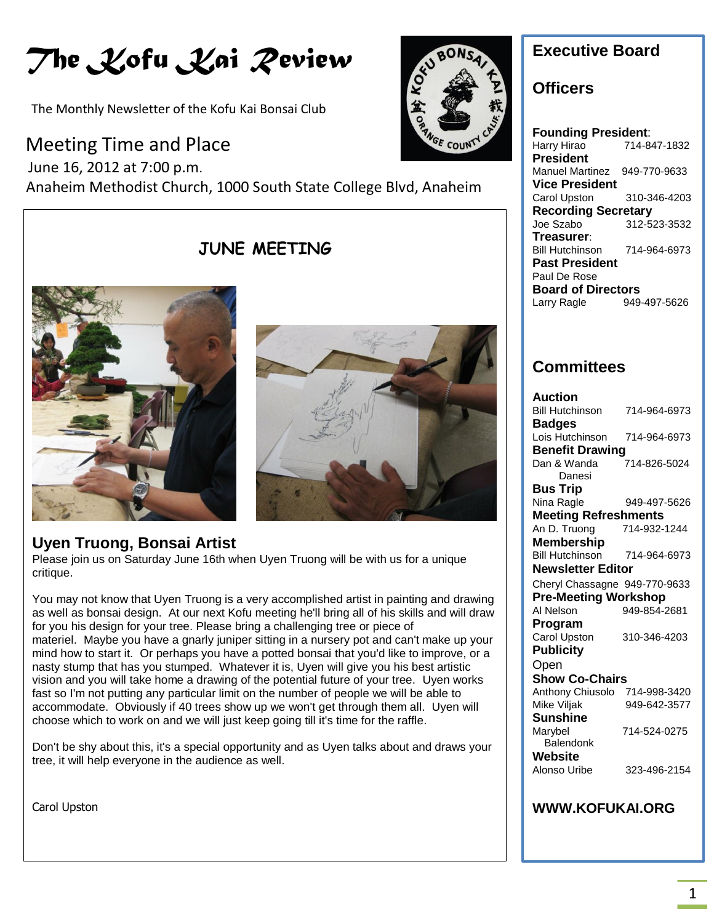# *The Kofu Kai Review*

The Monthly Newsletter of the Kofu Kai Bonsai Club

## Meeting Time and Place

 June 16, 2012 at 7:00 p.m. Anaheim Methodist Church, 1000 South State College Blvd, Anaheim

# **JUNE MEETING**





KOAC

## **Uyen Truong, Bonsai Artist**

Please join us on Saturday June 16th when Uyen Truong will be with us for a unique critique.

You may not know that Uyen Truong is a very accomplished artist in painting and drawing as well as bonsai design. At our next Kofu meeting he'll bring all of his skills and will draw for you his design for your tree. Please bring a challenging tree or piece of materiel. Maybe you have a gnarly juniper sitting in a nursery pot and can't make up your mind how to start it. Or perhaps you have a potted bonsai that you'd like to improve, or a nasty stump that has you stumped. Whatever it is, Uyen will give you his best artistic vision and you will take home a drawing of the potential future of your tree. Uyen works fast so I'm not putting any particular limit on the number of people we will be able to accommodate. Obviously if 40 trees show up we won't get through them all. Uyen will choose which to work on and we will just keep going till it's time for the raffle.

Don't be shy about this, it's a special opportunity and as Uyen talks about and draws your tree, it will help everyone in the audience as well.

Carol Upston



## **Officers**

**Founding President**: Harry Hirao 714-847-1832 **President** Manuel Martinez 949-770-9633 **Vice President** Carol Upston 310-346-4203 **Recording Secretary** Joe Szabo 312-523-3532 **Treasurer**: Bill Hutchinson 714-964-6973 **Past President** Paul De Rose **Board of Directors**<br>Larry Ragle 949-Larry Ragle 949-497-5626

## **Committees**

| Auction                       |              |
|-------------------------------|--------------|
| <b>Bill Hutchinson</b>        | 714-964-6973 |
| <b>Badges</b>                 |              |
| Lois Hutchinson               | 714-964-6973 |
| <b>Benefit Drawing</b>        |              |
| Dan & Wanda                   | 714-826-5024 |
| Danesi                        |              |
| <b>Bus Trip</b>               |              |
| Nina Ragle                    | 949-497-5626 |
| <b>Meeting Refreshments</b>   |              |
| An D. Truong                  | 714-932-1244 |
| <b>Membership</b>             |              |
| <b>Bill Hutchinson</b>        | 714-964-6973 |
| Newsletter Editor             |              |
| Cheryl Chassagne 949-770-9633 |              |
| <b>Pre-Meeting Workshop</b>   |              |
| Al Nelson                     | 949-854-2681 |
| Program                       |              |
| <b>Carol Upston</b>           | 310-346-4203 |
| <b>Publicity</b>              |              |
| Open                          |              |
| <b>Show Co-Chairs</b>         |              |
| Anthony Chiusolo              | 714-998-3420 |
| Mike Viljak                   | 949-642-3577 |
| <b>Sunshine</b>               |              |
| Marybel                       | 714-524-0275 |
| Balendonk                     |              |
| Website                       |              |
| Alonso Uribe                  | 323-496-2154 |
|                               |              |
|                               |              |

### **WWW.KOFUKAI.ORG**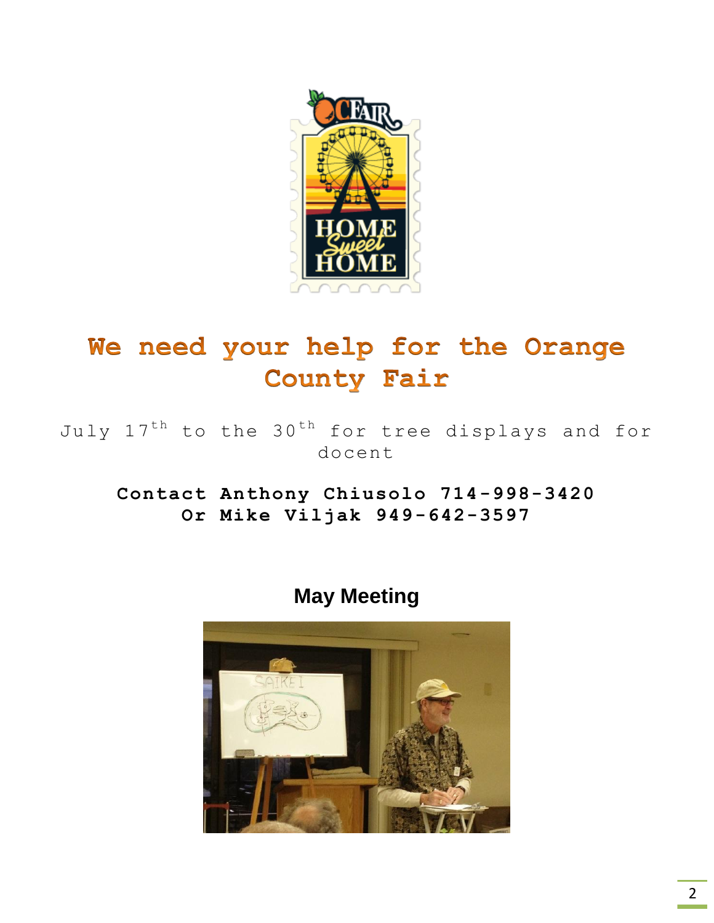

# We need your help for the Orange **County Fair**

July  $17^{th}$  to the  $30^{th}$  for tree displays and for docent

**Contact Anthony Chiusolo 714-998-3420 Or Mike Viljak 949-642-3597**

**May Meeting**

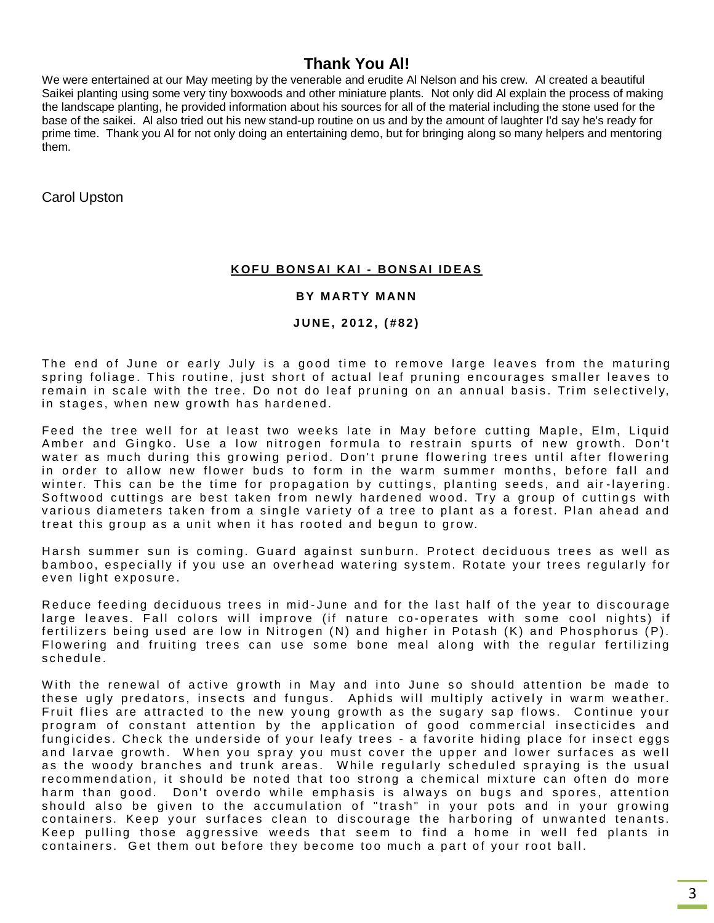## **Thank You Al!**

We were entertained at our May meeting by the venerable and erudite Al Nelson and his crew. Al created a beautiful Saikei planting using some very tiny boxwoods and other miniature plants. Not only did Al explain the process of making the landscape planting, he provided information about his sources for all of the material including the stone used for the base of the saikei. Al also tried out his new stand-up routine on us and by the amount of laughter I'd say he's ready for prime time. Thank you Al for not only doing an entertaining demo, but for bringing along so many helpers and mentoring them.

Carol Upston

#### **K O F U BO N S AI K AI - BO N S AI I D EAS**

#### **BY MARTY MANN**

#### **J U NE , 2 0 1 2 , ( # 8 2 )**

The end of June or early July is a good time to remove large leaves from the maturing spring foliage. This routine, just short of actual leaf pruning encourages smaller leaves to remain in scale with the tree. Do not do leaf pruning on an annual basis. Trim selectively, in stages, when new growth has hardened.

Feed the tree well for at least two weeks late in May before cutting Maple, Elm, Liquid Amber and Gingko. Use a low nitrogen formula to restrain spurts of new growth. Don't water as much during this growing period. Don't prune flowering trees until after flowering in order to allow new flower buds to form in the warm summer months, before fall and winter. This can be the time for propagation by cuttings, planting seeds, and air-layering. Softwood cuttings are best taken from newly hardened wood. Try a group of cuttings with various diameters taken from a single variety of a tree to plant as a forest. Plan ahead and treat this group as a unit when it has rooted and begun to grow.

Harsh summer sun is coming. Guard against sunburn. Protect deciduous trees as well as bamboo, especially if you use an overhead watering system. Rotate your trees regularly for even light exposure.

Reduce feeding deciduous trees in mid-June and for the last half of the year to discourage large leaves. Fall colors will improve (if nature co-operates with some cool nights) if fertilizers being used are low in Nitrogen (N) and higher in Potash (K) and Phosphorus (P). Flowering and fruiting trees can use some bone meal along with the regular fertilizing schedule.

With the renewal of active growth in May and into June so should attention be made to these ugly predators, insects and fungus. Aphids will multiply actively in warm weather. Fruit flies are attracted to the new young growth as the sugary sap flows. Continue your program of constant attention by the application of good commercial insecticides and fungicides. Check the underside of your leafy trees - a favorite hiding place for insect eggs and larvae growth. When you spray you must cover the upper and lower surfaces as well as the woody branches and trunk areas. While regularly scheduled spraying is the usual recommendation, it should be noted that too strong a chemical mixture can often do more harm than good. Don't overdo while emphasis is always on bugs and spores, attention should also be given to the accumulation of "trash" in your pots and in your growing containers. Keep your surfaces clean to discourage the harboring of unwanted tenants. Keep pulling those aggressive weeds that seem to find a home in well fed plants in containers. Get them out before they become too much a part of your root ball.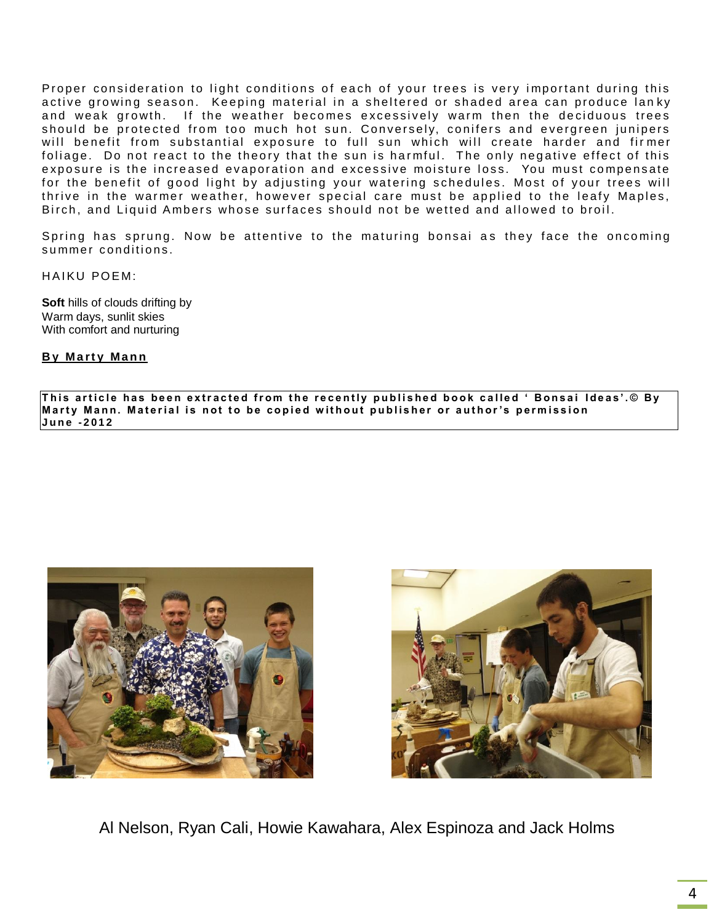Proper consideration to light conditions of each of your trees is very important during this active growing season. Keeping material in a sheltered or shaded area can produce lanky and weak growth. If the weather becomes excessively warm then the deciduous trees should be protected from too much hot sun. Conversely, conifers and evergreen junipers will benefit from substantial exposure to full sun which will create harder and firmer foliage. Do not react to the theory that the sun is harmful. The only negative effect of this exposure is the increased evaporation and excessive moisture loss. You must compensate for the benefit of good light by adjusting your watering schedules. Most of your trees will thrive in the warmer weather, however special care must be applied to the leafy Maples, Birch, and Liquid Ambers whose surfaces should not be wetted and allowed to broil.

Spring has sprung. Now be attentive to the maturing bonsai as they face the oncoming summer conditions.

HAIKU POEM:

**Soft** hills of clouds drifting by Warm days, sunlit skies With comfort and nurturing

**By Marty Mann** 

This article has been extracted from the recently published book called 'Bonsai Ideas'.© By Marty Mann. Material is not to be copied without publisher or author's permission **J u n e - 2 0 1 2**





Al Nelson, Ryan Cali, Howie Kawahara, Alex Espinoza and Jack Holms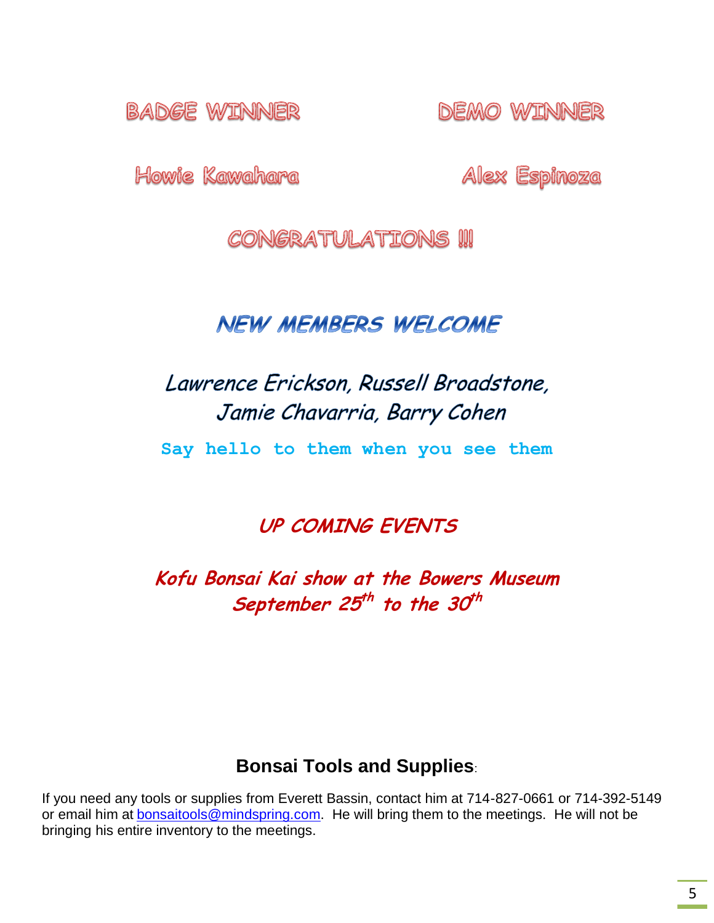**BADGE WINNER** 

DEMO WJINNER

Howie Kawahara

Alex Espinoza

CONGRATULATIONS !!!

# **NEW MEMBERS WELCOME**

# Lawrence Erickson, Russell Broadstone, Jamie Chavarria, Barry Cohen

**Say hello to them when you see them**

**UP COMING EVENTS**

**Kofu Bonsai Kai show at the Bowers Museum**  September 25<sup>th</sup> to the 30<sup>th</sup>

## **Bonsai Tools and Supplies**:

If you need any tools or supplies from Everett Bassin, contact him at 714-827-0661 or 714-392-5149 or email him at **[bonsaitools@mindspring.com.](mailto:bonsaitools@mindspring.com)** He will bring them to the meetings. He will not be bringing his entire inventory to the meetings.